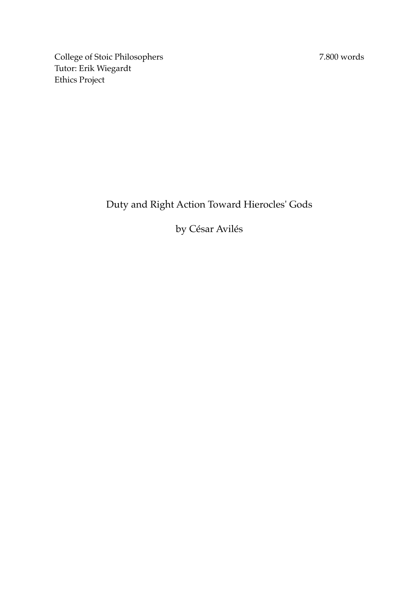7.800 words

College of Stoic Philosophers Tutor: Erik Wiegardt Ethics Project

# Duty and Right Action Toward Hierocles' Gods

# by César Avilés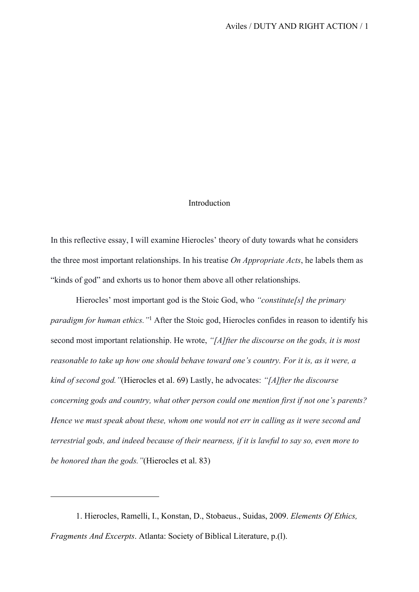# Introduction

In this reflective essay, I will examine Hierocles' theory of duty towards what he considers the three most important relationships. In his treatise *On Appropriate Acts*, he labels them as "kinds of god" and exhorts us to honor them above all other relationships.

Hierocles' most important god is the Stoic God, who *"constitute[s] the primary paradigm for human ethics."*<sup>1</sup> After the Stoic god, Hierocles confides in reason to identify his second most important relationship. He wrote, *"[A]fter the discourse on the gods, it is most reasonable to take up how one should behave toward one's country. For it is, as it were, a kind of second god."*(Hierocles et al. 69) Lastly, he advocates: *"[A]fter the discourse concerning gods and country, what other person could one mention first if not one's parents? Hence we must speak about these, whom one would not err in calling as it were second and terrestrial gods, and indeed because of their nearness, if it is lawful to say so, even more to be honored than the gods."*(Hierocles et al. 83)

<sup>1.</sup> Hierocles, Ramelli, I., Konstan, D., Stobaeus., Suidas, 2009. *Elements Of Ethics, Fragments And Excerpts*. Atlanta: Society of Biblical Literature, p.(l).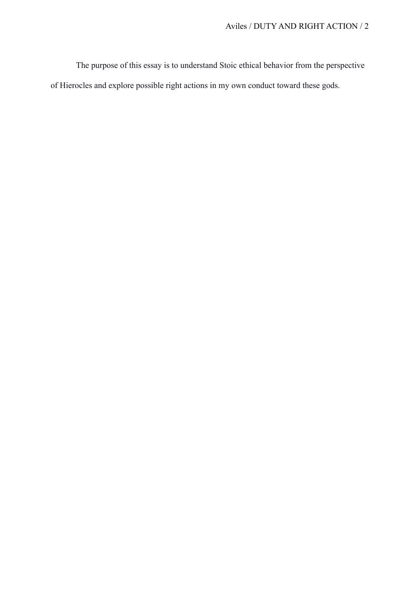The purpose of this essay is to understand Stoic ethical behavior from the perspective of Hierocles and explore possible right actions in my own conduct toward these gods.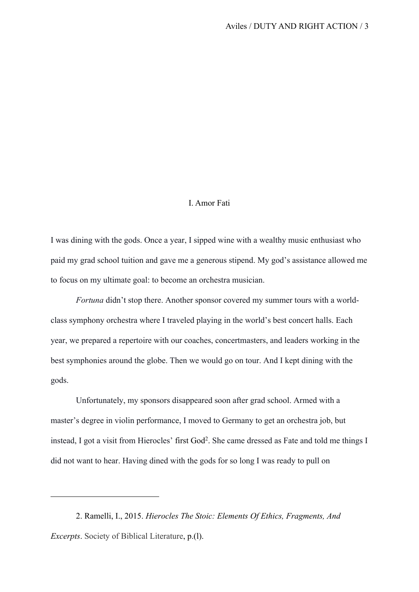## I. Amor Fati

I was dining with the gods. Once a year, I sipped wine with a wealthy music enthusiast who paid my grad school tuition and gave me a generous stipend. My god's assistance allowed me to focus on my ultimate goal: to become an orchestra musician.

*Fortuna* didn't stop there. Another sponsor covered my summer tours with a worldclass symphony orchestra where I traveled playing in the world's best concert halls. Each year, we prepared a repertoire with our coaches, concertmasters, and leaders working in the best symphonies around the globe. Then we would go on tour. And I kept dining with the gods.

Unfortunately, my sponsors disappeared soon after grad school. Armed with a master's degree in violin performance, I moved to Germany to get an orchestra job, but instead, I got a visit from Hierocles' first God2. She came dressed as Fate and told me things I did not want to hear. Having dined with the gods for so long I was ready to pull on

<sup>2.</sup> Ramelli, I., 2015. *Hierocles The Stoic: Elements Of Ethics, Fragments, And Excerpts*. Society of Biblical Literature, p.(l).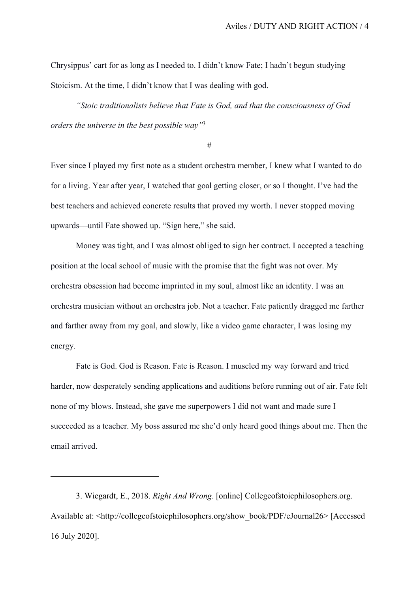Chrysippus' cart for as long as I needed to. I didn't know Fate; I hadn't begun studying Stoicism. At the time, I didn't know that I was dealing with god.

*"Stoic traditionalists believe that Fate is God, and that the consciousness of God orders the universe in the best possible way"*<sup>3</sup>

#

Ever since I played my first note as a student orchestra member, I knew what I wanted to do for a living. Year after year, I watched that goal getting closer, or so I thought. I've had the best teachers and achieved concrete results that proved my worth. I never stopped moving upwards—until Fate showed up. "Sign here," she said.

Money was tight, and I was almost obliged to sign her contract. I accepted a teaching position at the local school of music with the promise that the fight was not over. My orchestra obsession had become imprinted in my soul, almost like an identity. I was an orchestra musician without an orchestra job. Not a teacher. Fate patiently dragged me farther and farther away from my goal, and slowly, like a video game character, I was losing my energy.

Fate is God. God is Reason. Fate is Reason. I muscled my way forward and tried harder, now desperately sending applications and auditions before running out of air. Fate felt none of my blows. Instead, she gave me superpowers I did not want and made sure I succeeded as a teacher. My boss assured me she'd only heard good things about me. Then the email arrived.

3. Wiegardt, E., 2018. *Right And Wrong*. [online] Collegeofstoicphilosophers.org. Available at: <http://collegeofstoicphilosophers.org/show\_book/PDF/eJournal26> [Accessed 16 July 2020].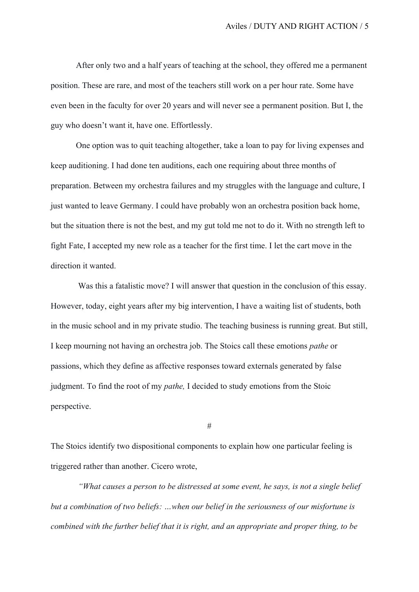After only two and a half years of teaching at the school, they offered me a permanent position. These are rare, and most of the teachers still work on a per hour rate. Some have even been in the faculty for over 20 years and will never see a permanent position. But I, the guy who doesn't want it, have one. Effortlessly.

One option was to quit teaching altogether, take a loan to pay for living expenses and keep auditioning. I had done ten auditions, each one requiring about three months of preparation. Between my orchestra failures and my struggles with the language and culture, I just wanted to leave Germany. I could have probably won an orchestra position back home, but the situation there is not the best, and my gut told me not to do it. With no strength left to fight Fate, I accepted my new role as a teacher for the first time. I let the cart move in the direction it wanted.

 Was this a fatalistic move? I will answer that question in the conclusion of this essay. However, today, eight years after my big intervention, I have a waiting list of students, both in the music school and in my private studio. The teaching business is running great. But still, I keep mourning not having an orchestra job. The Stoics call these emotions *pathe* or passions, which they define as affective responses toward externals generated by false judgment. To find the root of my *pathe,* I decided to study emotions from the Stoic perspective.

#

The Stoics identify two dispositional components to explain how one particular feeling is triggered rather than another. Cicero wrote,

*"What causes a person to be distressed at some event, he says, is not a single belief but a combination of two beliefs: …when our belief in the seriousness of our misfortune is combined with the further belief that it is right, and an appropriate and proper thing, to be*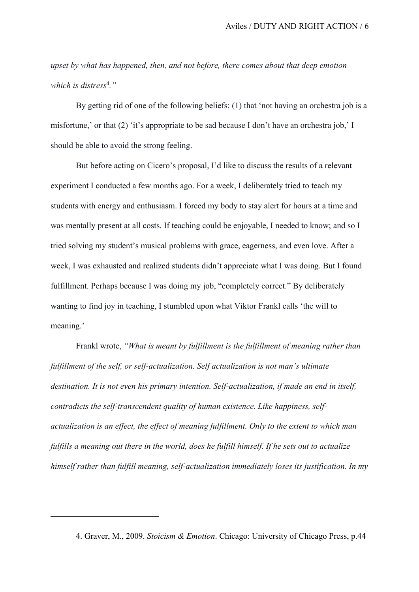*upset by what has happened, then, and not before, there comes about that deep emotion which is distress*<sup>4</sup>*."*

By getting rid of one of the following beliefs: (1) that 'not having an orchestra job is a misfortune,' or that (2) 'it's appropriate to be sad because I don't have an orchestra job,' I should be able to avoid the strong feeling.

But before acting on Cicero's proposal, I'd like to discuss the results of a relevant experiment I conducted a few months ago. For a week, I deliberately tried to teach my students with energy and enthusiasm. I forced my body to stay alert for hours at a time and was mentally present at all costs. If teaching could be enjoyable, I needed to know; and so I tried solving my student's musical problems with grace, eagerness, and even love. After a week, I was exhausted and realized students didn't appreciate what I was doing. But I found fulfillment. Perhaps because I was doing my job, "completely correct." By deliberately wanting to find joy in teaching, I stumbled upon what Viktor Frankl calls 'the will to meaning.'

Frankl wrote, *"What is meant by fulfillment is the fulfillment of meaning rather than fulfillment of the self, or self-actualization. Self actualization is not man's ultimate destination. It is not even his primary intention. Self-actualization, if made an end in itself, contradicts the self-transcendent quality of human existence. Like happiness, selfactualization is an effect, the effect of meaning fulfillment. Only to the extent to which man fulfills a meaning out there in the world, does he fulfill himself. If he sets out to actualize himself rather than fulfill meaning, self-actualization immediately loses its justification. In my* 

<sup>4.</sup> Graver, M., 2009. *Stoicism & Emotion*. Chicago: University of Chicago Press, p.44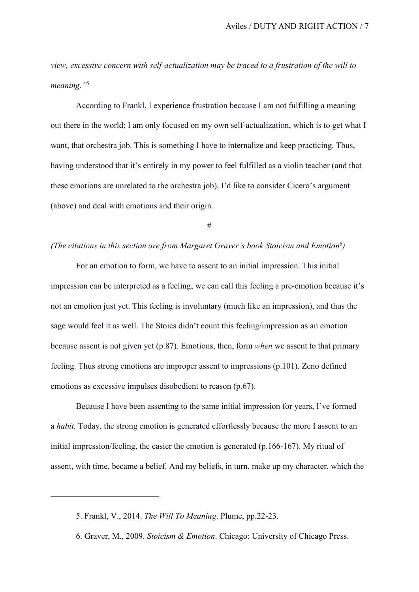*view, excessive concern with self-actualization may be traced to a frustration of the will to meaning."*<sup>5</sup>

According to Frankl, I experience frustration because I am not fulfilling a meaning out there in the world; I am only focused on my own self-actualization, which is to get what I want, that orchestra job. This is something I have to internalize and keep practicing. Thus, having understood that it's entirely in my power to feel fulfilled as a violin teacher (and that these emotions are unrelated to the orchestra job), I'd like to consider Cicero's argument (above) and deal with emotions and their origin.

#

## *(The citations in this section are from Margaret Graver's book Stoicism and Emotion*<sup>6</sup>*)*

For an emotion to form, we have to assent to an initial impression. This initial impression can be interpreted as a feeling; we can call this feeling a pre-emotion because it's not an emotion just yet. This feeling is involuntary (much like an impression), and thus the sage would feel it as well. The Stoics didn't count this feeling/impression as an emotion because assent is not given yet (p.87). Emotions, then, form *when* we assent to that primary feeling. Thus strong emotions are improper assent to impressions (p.101). Zeno defined emotions as excessive impulses disobedient to reason (p.67).

Because I have been assenting to the same initial impression for years, I've formed a *habit.* Today, the strong emotion is generated effortlessly because the more I assent to an initial impression/feeling, the easier the emotion is generated (p.166-167). My ritual of assent, with time, became a belief. And my beliefs, in turn, make up my character, which the

<sup>5.</sup> Frankl, V., 2014. *The Will To Meaning*. Plume, pp.22-23.

<sup>6.</sup> Graver, M., 2009. *Stoicism & Emotion*. Chicago: University of Chicago Press.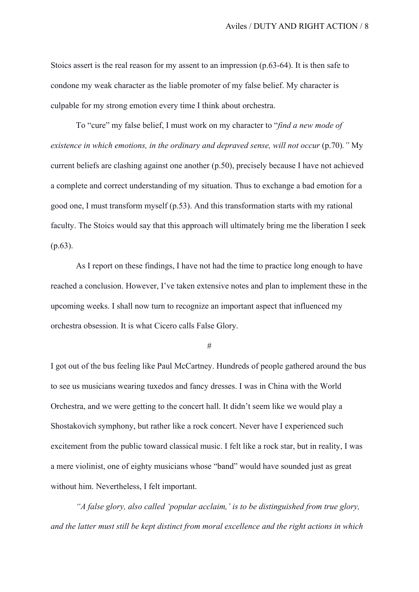Stoics assert is the real reason for my assent to an impression (p.63-64). It is then safe to condone my weak character as the liable promoter of my false belief. My character is culpable for my strong emotion every time I think about orchestra.

To "cure" my false belief, I must work on my character to "*find a new mode of existence in which emotions, in the ordinary and depraved sense, will not occur* (p.70)*."* My current beliefs are clashing against one another (p.50), precisely because I have not achieved a complete and correct understanding of my situation. Thus to exchange a bad emotion for a good one, I must transform myself (p.53). And this transformation starts with my rational faculty. The Stoics would say that this approach will ultimately bring me the liberation I seek (p.63).

As I report on these findings, I have not had the time to practice long enough to have reached a conclusion. However, I've taken extensive notes and plan to implement these in the upcoming weeks. I shall now turn to recognize an important aspect that influenced my orchestra obsession. It is what Cicero calls False Glory.

#

I got out of the bus feeling like Paul McCartney. Hundreds of people gathered around the bus to see us musicians wearing tuxedos and fancy dresses. I was in China with the World Orchestra, and we were getting to the concert hall. It didn't seem like we would play a Shostakovich symphony, but rather like a rock concert. Never have I experienced such excitement from the public toward classical music. I felt like a rock star, but in reality, I was a mere violinist, one of eighty musicians whose "band" would have sounded just as great without him. Nevertheless, I felt important.

*"A false glory, also called 'popular acclaim,' is to be distinguished from true glory, and the latter must still be kept distinct from moral excellence and the right actions in which*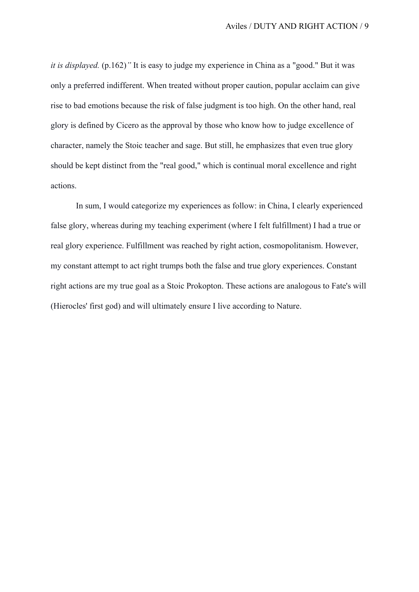*it is displayed.* (p.162)*"* It is easy to judge my experience in China as a "good." But it was only a preferred indifferent. When treated without proper caution, popular acclaim can give rise to bad emotions because the risk of false judgment is too high. On the other hand, real glory is defined by Cicero as the approval by those who know how to judge excellence of character, namely the Stoic teacher and sage. But still, he emphasizes that even true glory should be kept distinct from the "real good," which is continual moral excellence and right actions.

In sum, I would categorize my experiences as follow: in China, I clearly experienced false glory, whereas during my teaching experiment (where I felt fulfillment) I had a true or real glory experience. Fulfillment was reached by right action, cosmopolitanism. However, my constant attempt to act right trumps both the false and true glory experiences. Constant right actions are my true goal as a Stoic Prokopton. These actions are analogous to Fate's will (Hierocles' first god) and will ultimately ensure I live according to Nature.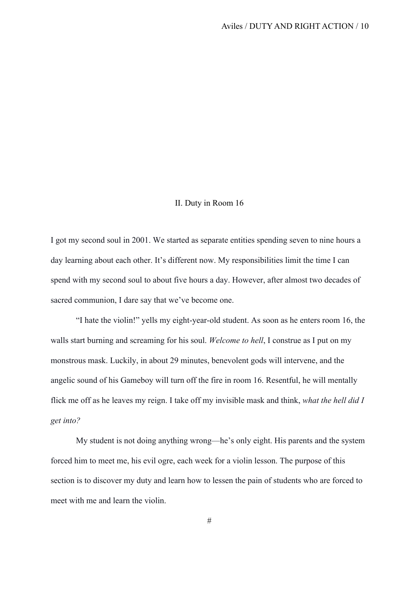# II. Duty in Room 16

I got my second soul in 2001. We started as separate entities spending seven to nine hours a day learning about each other. It's different now. My responsibilities limit the time I can spend with my second soul to about five hours a day. However, after almost two decades of sacred communion, I dare say that we've become one.

"I hate the violin!" yells my eight-year-old student. As soon as he enters room 16, the walls start burning and screaming for his soul. *Welcome to hell*, I construe as I put on my monstrous mask. Luckily, in about 29 minutes, benevolent gods will intervene, and the angelic sound of his Gameboy will turn off the fire in room 16. Resentful, he will mentally flick me off as he leaves my reign. I take off my invisible mask and think, *what the hell did I get into?*

My student is not doing anything wrong—he's only eight. His parents and the system forced him to meet me, his evil ogre, each week for a violin lesson. The purpose of this section is to discover my duty and learn how to lessen the pain of students who are forced to meet with me and learn the violin.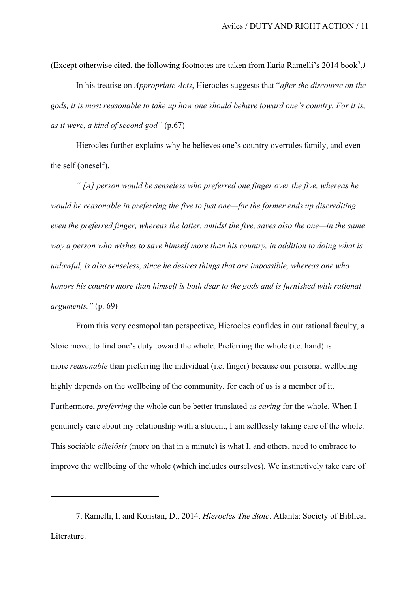(Except otherwise cited, the following footnotes are taken from Ilaria Ramelli's 2014 book7.*)*

In his treatise on *Appropriate Acts*, Hierocles suggests that "*after the discourse on the gods, it is most reasonable to take up how one should behave toward one's country. For it is, as it were, a kind of second god"* (p.67)

Hierocles further explains why he believes one's country overrules family, and even the self (oneself),

*" [A] person would be senseless who preferred one finger over the five, whereas he would be reasonable in preferring the five to just one—for the former ends up discrediting even the preferred finger, whereas the latter, amidst the five, saves also the one—in the same way a person who wishes to save himself more than his country, in addition to doing what is unlawful, is also senseless, since he desires things that are impossible, whereas one who honors his country more than himself is both dear to the gods and is furnished with rational arguments."* (p. 69)

From this very cosmopolitan perspective, Hierocles confides in our rational faculty, a Stoic move, to find one's duty toward the whole. Preferring the whole (i.e. hand) is more *reasonable* than preferring the individual (i.e. finger) because our personal wellbeing highly depends on the wellbeing of the community, for each of us is a member of it. Furthermore, *preferring* the whole can be better translated as *caring* for the whole. When I genuinely care about my relationship with a student, I am selflessly taking care of the whole. This sociable *oikeiôsis* (more on that in a minute) is what I, and others, need to embrace to improve the wellbeing of the whole (which includes ourselves). We instinctively take care of

<sup>7.</sup> Ramelli, I. and Konstan, D., 2014. *Hierocles The Stoic*. Atlanta: Society of Biblical Literature.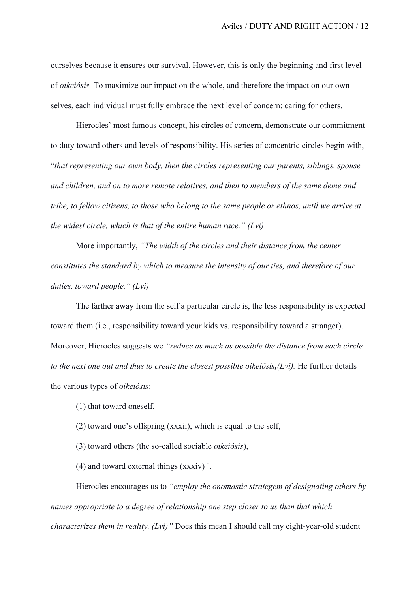ourselves because it ensures our survival. However, this is only the beginning and first level of *oikeiôsis.* To maximize our impact on the whole, and therefore the impact on our own selves, each individual must fully embrace the next level of concern: caring for others.

Hierocles' most famous concept, his circles of concern, demonstrate our commitment to duty toward others and levels of responsibility. His series of concentric circles begin with, "*that representing our own body, then the circles representing our parents, siblings, spouse and children, and on to more remote relatives, and then to members of the same deme and tribe, to fellow citizens, to those who belong to the same people or ethnos, until we arrive at the widest circle, which is that of the entire human race." (Lvi)*

More importantly, *"The width of the circles and their distance from the center constitutes the standard by which to measure the intensity of our ties, and therefore of our duties, toward people." (Lvi)*

The farther away from the self a particular circle is, the less responsibility is expected toward them (i.e., responsibility toward your kids vs. responsibility toward a stranger). Moreover, Hierocles suggests we *"reduce as much as possible the distance from each circle to the next one out and thus to create the closest possible oikeiôsis,(Lvi).* He further details the various types of *oikeiôsis*:

- (1) that toward oneself,
- (2) toward one's offspring (xxxii), which is equal to the self,
- (3) toward others (the so-called sociable *oikeiôsis*),

(4) and toward external things (xxxiv)*"*.

Hierocles encourages us to *"employ the onomastic strategem of designating others by names appropriate to a degree of relationship one step closer to us than that which characterizes them in reality. (Lvi)"* Does this mean I should call my eight-year-old student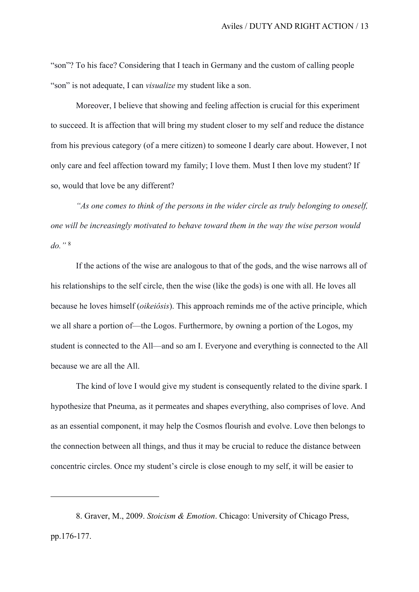"son"? To his face? Considering that I teach in Germany and the custom of calling people "son" is not adequate, I can *visualize* my student like a son.

Moreover, I believe that showing and feeling affection is crucial for this experiment to succeed. It is affection that will bring my student closer to my self and reduce the distance from his previous category (of a mere citizen) to someone I dearly care about. However, I not only care and feel affection toward my family; I love them. Must I then love my student? If so, would that love be any different?

*"As one comes to think of the persons in the wider circle as truly belonging to oneself, one will be increasingly motivated to behave toward them in the way the wise person would do."* <sup>8</sup>

If the actions of the wise are analogous to that of the gods, and the wise narrows all of his relationships to the self circle, then the wise (like the gods) is one with all. He loves all because he loves himself (*oikeiôsis*). This approach reminds me of the active principle, which we all share a portion of—the Logos. Furthermore, by owning a portion of the Logos, my student is connected to the All—and so am I. Everyone and everything is connected to the All because we are all the All.

The kind of love I would give my student is consequently related to the divine spark. I hypothesize that Pneuma, as it permeates and shapes everything, also comprises of love. And as an essential component, it may help the Cosmos flourish and evolve. Love then belongs to the connection between all things, and thus it may be crucial to reduce the distance between concentric circles. Once my student's circle is close enough to my self, it will be easier to

<sup>8.</sup> Graver, M., 2009. *Stoicism & Emotion*. Chicago: University of Chicago Press, pp.176-177.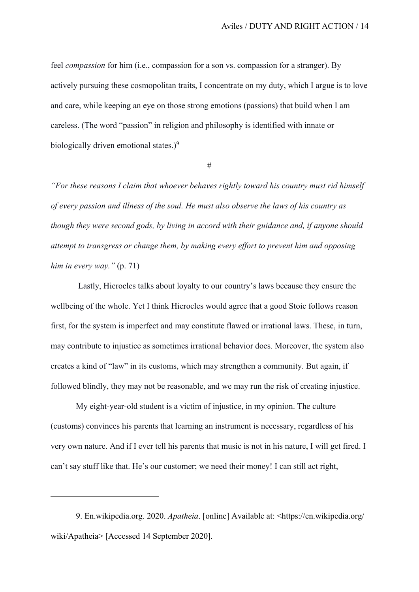feel *compassion* for him (i.e., compassion for a son vs. compassion for a stranger). By actively pursuing these cosmopolitan traits, I concentrate on my duty, which I argue is to love and care, while keeping an eye on those strong emotions (passions) that build when I am careless. (The word "passion" in religion and philosophy is identified with innate or biologically driven emotional states.)<sup>9</sup>

#

*"For these reasons I claim that whoever behaves rightly toward his country must rid himself of every passion and illness of the soul. He must also observe the laws of his country as though they were second gods, by living in accord with their guidance and, if anyone should attempt to transgress or change them, by making every effort to prevent him and opposing him in every way."* (p. 71)

 Lastly, Hierocles talks about loyalty to our country's laws because they ensure the wellbeing of the whole. Yet I think Hierocles would agree that a good Stoic follows reason first, for the system is imperfect and may constitute flawed or irrational laws. These, in turn, may contribute to injustice as sometimes irrational behavior does. Moreover, the system also creates a kind of "law" in its customs, which may strengthen a community. But again, if followed blindly, they may not be reasonable, and we may run the risk of creating injustice.

My eight-year-old student is a victim of injustice, in my opinion. The culture (customs) convinces his parents that learning an instrument is necessary, regardless of his very own nature. And if I ever tell his parents that music is not in his nature, I will get fired. I can't say stuff like that. He's our customer; we need their money! I can still act right,

<sup>9.</sup> En.wikipedia.org. 2020. *Apatheia*. [online] Available at: <https://en.wikipedia.org/ wiki/Apatheia> [Accessed 14 September 2020].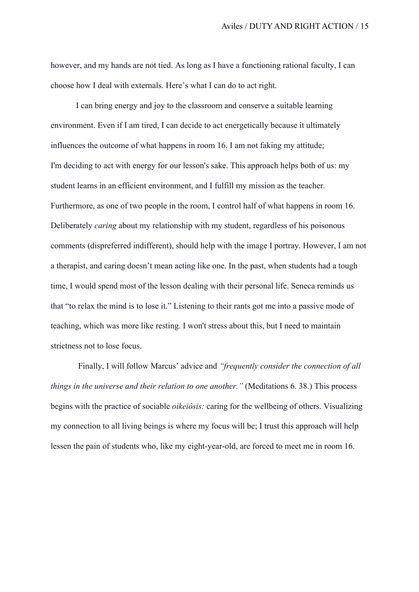however, and my hands are not tied. As long as I have a functioning rational faculty, I can choose how I deal with externals. Here's what I can do to act right.

I can bring energy and joy to the classroom and conserve a suitable learning environment. Even if I am tired, I can decide to act energetically because it ultimately influences the outcome of what happens in room 16. I am not faking my attitude; I'm deciding to act with energy for our lesson's sake. This approach helps both of us: my student learns in an efficient environment, and I fulfill my mission as the teacher. Furthermore, as one of two people in the room, I control half of what happens in room 16. Deliberately *caring* about my relationship with my student, regardless of his poisonous comments (dispreferred indifferent), should help with the image I portray. However, I am not a therapist, and caring doesn't mean acting like one. In the past, when students had a tough time, I would spend most of the lesson dealing with their personal life. Seneca reminds us that "to relax the mind is to lose it." Listening to their rants got me into a passive mode of teaching, which was more like resting. I won't stress about this, but I need to maintain strictness not to lose focus.

 Finally, I will follow Marcus' advice and *"frequently consider the connection of all things in the universe and their relation to one another."* (Meditations 6. 38.) This process begins with the practice of sociable *oikeiôsis:* caring for the wellbeing of others. Visualizing my connection to all living beings is where my focus will be; I trust this approach will help lessen the pain of students who, like my eight-year-old, are forced to meet me in room 16.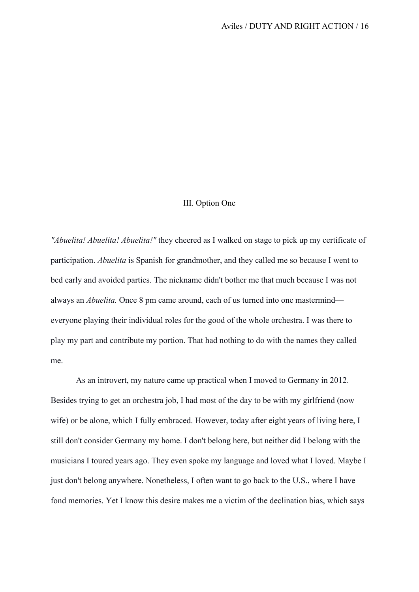## III. Option One

*"Abuelita! Abuelita! Abuelita!"* they cheered as I walked on stage to pick up my certificate of participation. *Abuelita* is Spanish for grandmother, and they called me so because I went to bed early and avoided parties. The nickname didn't bother me that much because I was not always an *Abuelita.* Once 8 pm came around, each of us turned into one mastermind everyone playing their individual roles for the good of the whole orchestra. I was there to play my part and contribute my portion. That had nothing to do with the names they called me.

As an introvert, my nature came up practical when I moved to Germany in 2012. Besides trying to get an orchestra job, I had most of the day to be with my girlfriend (now wife) or be alone, which I fully embraced. However, today after eight years of living here, I still don't consider Germany my home. I don't belong here, but neither did I belong with the musicians I toured years ago. They even spoke my language and loved what I loved. Maybe I just don't belong anywhere. Nonetheless, I often want to go back to the U.S., where I have fond memories. Yet I know this desire makes me a victim of the declination bias, which says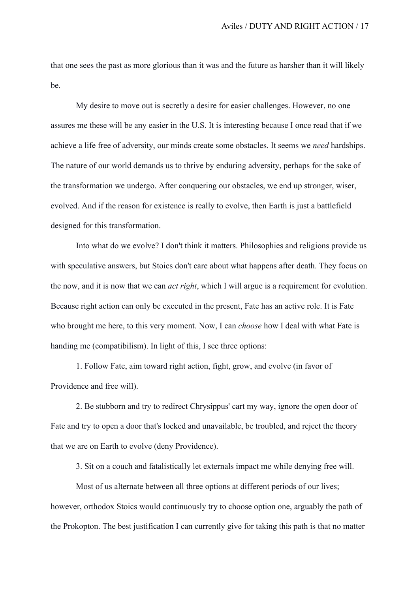that one sees the past as more glorious than it was and the future as harsher than it will likely be.

My desire to move out is secretly a desire for easier challenges. However, no one assures me these will be any easier in the U.S. It is interesting because I once read that if we achieve a life free of adversity, our minds create some obstacles. It seems we *need* hardships. The nature of our world demands us to thrive by enduring adversity, perhaps for the sake of the transformation we undergo. After conquering our obstacles, we end up stronger, wiser, evolved. And if the reason for existence is really to evolve, then Earth is just a battlefield designed for this transformation.

Into what do we evolve? I don't think it matters. Philosophies and religions provide us with speculative answers, but Stoics don't care about what happens after death. They focus on the now, and it is now that we can *act right*, which I will argue is a requirement for evolution. Because right action can only be executed in the present, Fate has an active role. It is Fate who brought me here, to this very moment. Now, I can *choose* how I deal with what Fate is handing me (compatibilism). In light of this, I see three options:

1. Follow Fate, aim toward right action, fight, grow, and evolve (in favor of Providence and free will).

2. Be stubborn and try to redirect Chrysippus' cart my way, ignore the open door of Fate and try to open a door that's locked and unavailable, be troubled, and reject the theory that we are on Earth to evolve (deny Providence).

3. Sit on a couch and fatalistically let externals impact me while denying free will.

Most of us alternate between all three options at different periods of our lives; however, orthodox Stoics would continuously try to choose option one, arguably the path of the Prokopton. The best justification I can currently give for taking this path is that no matter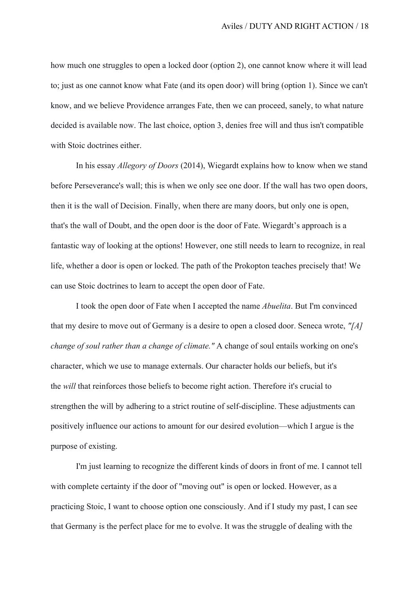how much one struggles to open a locked door (option 2), one cannot know where it will lead to; just as one cannot know what Fate (and its open door) will bring (option 1). Since we can't know, and we believe Providence arranges Fate, then we can proceed, sanely, to what nature decided is available now. The last choice, option 3, denies free will and thus isn't compatible with Stoic doctrines either.

In his essay *Allegory of Doors* (2014), Wiegardt explains how to know when we stand before Perseverance's wall; this is when we only see one door. If the wall has two open doors, then it is the wall of Decision. Finally, when there are many doors, but only one is open, that's the wall of Doubt, and the open door is the door of Fate. Wiegardt's approach is a fantastic way of looking at the options! However, one still needs to learn to recognize, in real life, whether a door is open or locked. The path of the Prokopton teaches precisely that! We can use Stoic doctrines to learn to accept the open door of Fate.

I took the open door of Fate when I accepted the name *Abuelita*. But I'm convinced that my desire to move out of Germany is a desire to open a closed door. Seneca wrote, *"[A] change of soul rather than a change of climate."* A change of soul entails working on one's character, which we use to manage externals. Our character holds our beliefs, but it's the *will* that reinforces those beliefs to become right action. Therefore it's crucial to strengthen the will by adhering to a strict routine of self-discipline. These adjustments can positively influence our actions to amount for our desired evolution—which I argue is the purpose of existing.

I'm just learning to recognize the different kinds of doors in front of me. I cannot tell with complete certainty if the door of "moving out" is open or locked. However, as a practicing Stoic, I want to choose option one consciously. And if I study my past, I can see that Germany is the perfect place for me to evolve. It was the struggle of dealing with the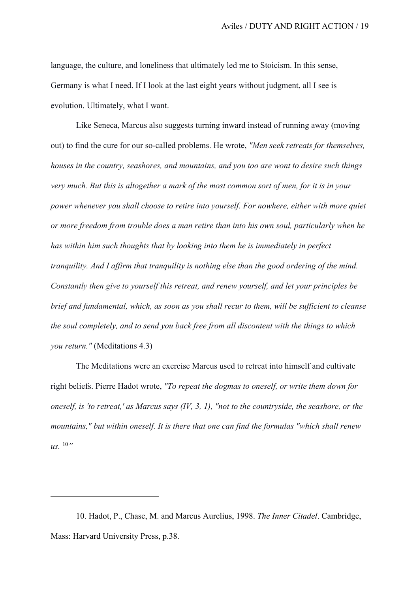language, the culture, and loneliness that ultimately led me to Stoicism. In this sense, Germany is what I need. If I look at the last eight years without judgment, all I see is evolution. Ultimately, what I want.

Like Seneca, Marcus also suggests turning inward instead of running away (moving out) to find the cure for our so-called problems. He wrote, *"Men seek retreats for themselves, houses in the country, seashores, and mountains, and you too are wont to desire such things very much. But this is altogether a mark of the most common sort of men, for it is in your power whenever you shall choose to retire into yourself. For nowhere, either with more quiet or more freedom from trouble does a man retire than into his own soul, particularly when he has within him such thoughts that by looking into them he is immediately in perfect tranquility. And I affirm that tranquility is nothing else than the good ordering of the mind. Constantly then give to yourself this retreat, and renew yourself, and let your principles be brief and fundamental, which, as soon as you shall recur to them, will be sufficient to cleanse the soul completely, and to send you back free from all discontent with the things to which you return."* (Meditations 4.3)

The Meditations were an exercise Marcus used to retreat into himself and cultivate right beliefs. Pierre Hadot wrote, *"To repeat the dogmas to oneself, or write them down for oneself, is 'to retreat,' as Marcus says (IV, 3, 1), "not to the countryside, the seashore, or the mountains," but within oneself. It is there that one can find the formulas "which shall renew us.* <sup>10</sup>*"*

<sup>10.</sup> Hadot, P., Chase, M. and Marcus Aurelius, 1998. *The Inner Citadel*. Cambridge, Mass: Harvard University Press, p.38.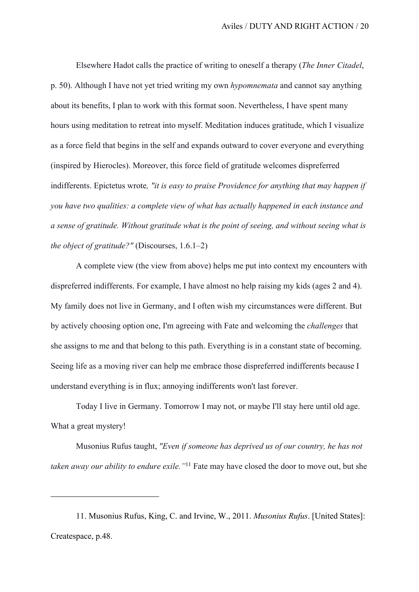Elsewhere Hadot calls the practice of writing to oneself a therapy (*The Inner Citadel*, p. 50). Although I have not yet tried writing my own *hypomnemata* and cannot say anything about its benefits, I plan to work with this format soon. Nevertheless, I have spent many hours using meditation to retreat into myself. Meditation induces gratitude, which I visualize as a force field that begins in the self and expands outward to cover everyone and everything (inspired by Hierocles). Moreover, this force field of gratitude welcomes dispreferred indifferents. Epictetus wrote*, "it is easy to praise Providence for anything that may happen if you have two qualities: a complete view of what has actually happened in each instance and a sense of gratitude. Without gratitude what is the point of seeing, and without seeing what is the object of gratitude?"* (Discourses, 1.6.1–2)

A complete view (the view from above) helps me put into context my encounters with dispreferred indifferents. For example, I have almost no help raising my kids (ages 2 and 4). My family does not live in Germany, and I often wish my circumstances were different. But by actively choosing option one, I'm agreeing with Fate and welcoming the *challenges* that she assigns to me and that belong to this path. Everything is in a constant state of becoming. Seeing life as a moving river can help me embrace those dispreferred indifferents because I understand everything is in flux; annoying indifferents won't last forever.

Today I live in Germany. Tomorrow I may not, or maybe I'll stay here until old age. What a great mystery!

Musonius Rufus taught, *"Even if someone has deprived us of our country, he has not taken away our ability to endure exile."*11 Fate may have closed the door to move out, but she

<sup>11.</sup> Musonius Rufus, King, C. and Irvine, W., 2011. *Musonius Rufus*. [United States]: Createspace, p.48.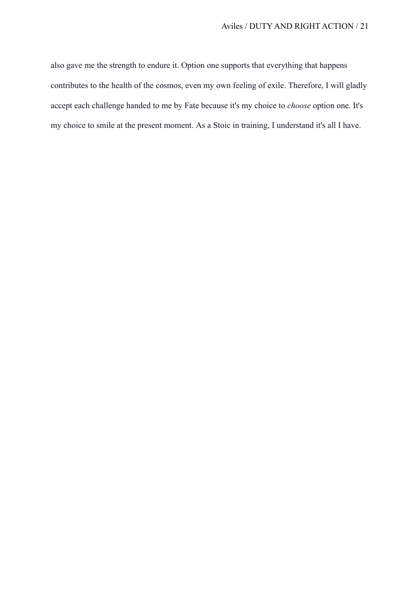also gave me the strength to endure it. Option one supports that everything that happens contributes to the health of the cosmos, even my own feeling of exile. Therefore, I will gladly accept each challenge handed to me by Fate because it's my choice to *choose* option one. It's my choice to smile at the present moment. As a Stoic in training, I understand it's all I have.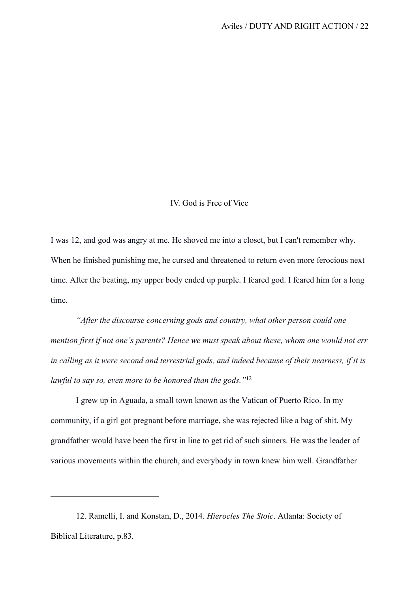## IV. God is Free of Vice

I was 12, and god was angry at me. He shoved me into a closet, but I can't remember why. When he finished punishing me, he cursed and threatened to return even more ferocious next time. After the beating, my upper body ended up purple. I feared god. I feared him for a long time.

*"After the discourse concerning gods and country, what other person could one mention first if not one's parents? Hence we must speak about these, whom one would not err in calling as it were second and terrestrial gods, and indeed because of their nearness, if it is lawful to say so, even more to be honored than the gods."*<sup>12</sup>

I grew up in Aguada, a small town known as the Vatican of Puerto Rico. In my community, if a girl got pregnant before marriage, she was rejected like a bag of shit. My grandfather would have been the first in line to get rid of such sinners. He was the leader of various movements within the church, and everybody in town knew him well. Grandfather

<sup>12.</sup> Ramelli, I. and Konstan, D., 2014. *Hierocles The Stoic*. Atlanta: Society of Biblical Literature, p.83.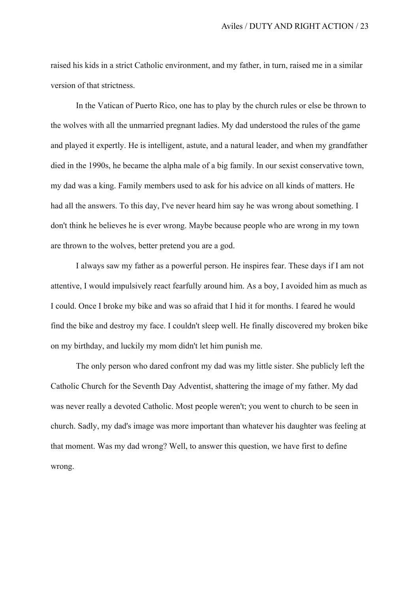raised his kids in a strict Catholic environment, and my father, in turn, raised me in a similar version of that strictness.

In the Vatican of Puerto Rico, one has to play by the church rules or else be thrown to the wolves with all the unmarried pregnant ladies. My dad understood the rules of the game and played it expertly. He is intelligent, astute, and a natural leader, and when my grandfather died in the 1990s, he became the alpha male of a big family. In our sexist conservative town, my dad was a king. Family members used to ask for his advice on all kinds of matters. He had all the answers. To this day, I've never heard him say he was wrong about something. I don't think he believes he is ever wrong. Maybe because people who are wrong in my town are thrown to the wolves, better pretend you are a god.

I always saw my father as a powerful person. He inspires fear. These days if I am not attentive, I would impulsively react fearfully around him. As a boy, I avoided him as much as I could. Once I broke my bike and was so afraid that I hid it for months. I feared he would find the bike and destroy my face. I couldn't sleep well. He finally discovered my broken bike on my birthday, and luckily my mom didn't let him punish me.

The only person who dared confront my dad was my little sister. She publicly left the Catholic Church for the Seventh Day Adventist, shattering the image of my father. My dad was never really a devoted Catholic. Most people weren't; you went to church to be seen in church. Sadly, my dad's image was more important than whatever his daughter was feeling at that moment. Was my dad wrong? Well, to answer this question, we have first to define wrong.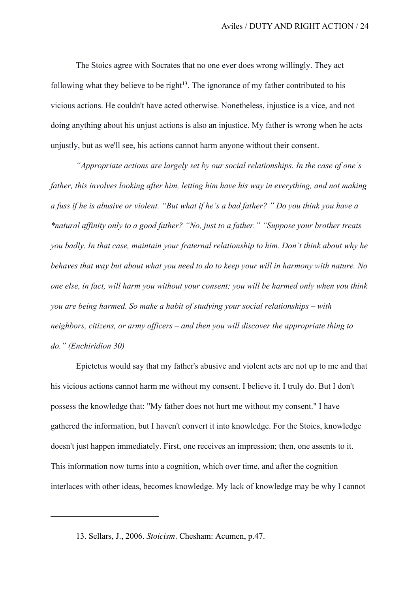The Stoics agree with Socrates that no one ever does wrong willingly. They act following what they believe to be right<sup>13</sup>. The ignorance of my father contributed to his vicious actions. He couldn't have acted otherwise. Nonetheless, injustice is a vice, and not doing anything about his unjust actions is also an injustice. My father is wrong when he acts unjustly, but as we'll see, his actions cannot harm anyone without their consent.

*"Appropriate actions are largely set by our social relationships. In the case of one's father, this involves looking after him, letting him have his way in everything, and not making a fuss if he is abusive or violent. "But what if he's a bad father? " Do you think you have a \*natural affinity only to a good father? "No, just to a father." "Suppose your brother treats you badly. In that case, maintain your fraternal relationship to him. Don't think about why he behaves that way but about what you need to do to keep your will in harmony with nature. No one else, in fact, will harm you without your consent; you will be harmed only when you think you are being harmed. So make a habit of studying your social relationships – with neighbors, citizens, or army officers – and then you will discover the appropriate thing to do." (Enchiridion 30)*

Epictetus would say that my father's abusive and violent acts are not up to me and that his vicious actions cannot harm me without my consent. I believe it. I truly do. But I don't possess the knowledge that: "My father does not hurt me without my consent." I have gathered the information, but I haven't convert it into knowledge. For the Stoics, knowledge doesn't just happen immediately. First, one receives an impression; then, one assents to it. This information now turns into a cognition, which over time, and after the cognition interlaces with other ideas, becomes knowledge. My lack of knowledge may be why I cannot

<sup>13.</sup> Sellars, J., 2006. *Stoicism*. Chesham: Acumen, p.47.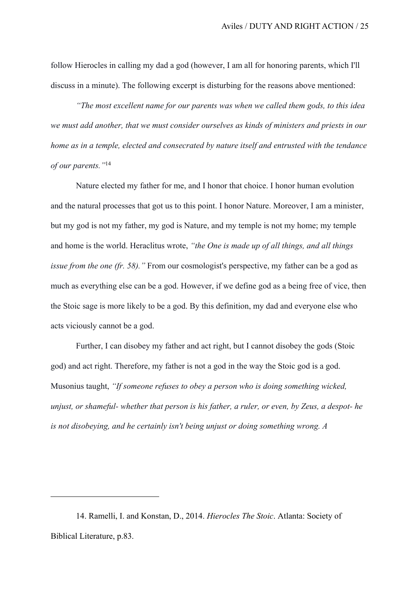follow Hierocles in calling my dad a god (however, I am all for honoring parents, which I'll discuss in a minute). The following excerpt is disturbing for the reasons above mentioned:

*"The most excellent name for our parents was when we called them gods, to this idea we must add another, that we must consider ourselves as kinds of ministers and priests in our home as in a temple, elected and consecrated by nature itself and entrusted with the tendance of our parents."*<sup>14</sup>

Nature elected my father for me, and I honor that choice. I honor human evolution and the natural processes that got us to this point. I honor Nature. Moreover, I am a minister, but my god is not my father, my god is Nature, and my temple is not my home; my temple and home is the world. Heraclitus wrote, *"the One is made up of all things, and all things issue from the one (fr. 58).* " From our cosmologist's perspective, my father can be a god as much as everything else can be a god. However, if we define god as a being free of vice, then the Stoic sage is more likely to be a god. By this definition, my dad and everyone else who acts viciously cannot be a god.

Further, I can disobey my father and act right, but I cannot disobey the gods (Stoic god) and act right. Therefore, my father is not a god in the way the Stoic god is a god. Musonius taught, *"If someone refuses to obey a person who is doing something wicked, unjust, or shameful- whether that person is his father, a ruler, or even, by Zeus, a despot- he is not disobeying, and he certainly isn't being unjust or doing something wrong. A* 

<sup>14.</sup> Ramelli, I. and Konstan, D., 2014. *Hierocles The Stoic*. Atlanta: Society of Biblical Literature, p.83.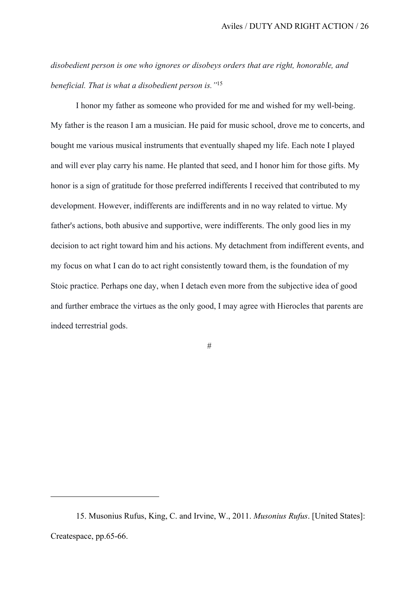*disobedient person is one who ignores or disobeys orders that are right, honorable, and beneficial. That is what a disobedient person is."*<sup>15</sup>

I honor my father as someone who provided for me and wished for my well-being. My father is the reason I am a musician. He paid for music school, drove me to concerts, and bought me various musical instruments that eventually shaped my life. Each note I played and will ever play carry his name. He planted that seed, and I honor him for those gifts. My honor is a sign of gratitude for those preferred indifferents I received that contributed to my development. However, indifferents are indifferents and in no way related to virtue. My father's actions, both abusive and supportive, were indifferents. The only good lies in my decision to act right toward him and his actions. My detachment from indifferent events, and my focus on what I can do to act right consistently toward them, is the foundation of my Stoic practice. Perhaps one day, when I detach even more from the subjective idea of good and further embrace the virtues as the only good, I may agree with Hierocles that parents are indeed terrestrial gods.

#

<sup>15.</sup> Musonius Rufus, King, C. and Irvine, W., 2011. *Musonius Rufus*. [United States]: Createspace, pp.65-66.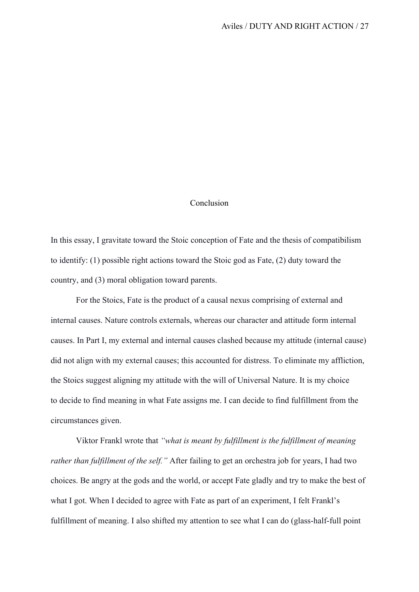## Conclusion

In this essay, I gravitate toward the Stoic conception of Fate and the thesis of compatibilism to identify: (1) possible right actions toward the Stoic god as Fate, (2) duty toward the country, and (3) moral obligation toward parents.

For the Stoics, Fate is the product of a causal nexus comprising of external and internal causes. Nature controls externals, whereas our character and attitude form internal causes. In Part I, my external and internal causes clashed because my attitude (internal cause) did not align with my external causes; this accounted for distress. To eliminate my affliction, the Stoics suggest aligning my attitude with the will of Universal Nature. It is my choice to decide to find meaning in what Fate assigns me. I can decide to find fulfillment from the circumstances given.

Viktor Frankl wrote that *"what is meant by fulfillment is the fulfillment of meaning rather than fulfillment of the self."* After failing to get an orchestra job for years, I had two choices. Be angry at the gods and the world, or accept Fate gladly and try to make the best of what I got. When I decided to agree with Fate as part of an experiment, I felt Frankl's fulfillment of meaning. I also shifted my attention to see what I can do (glass-half-full point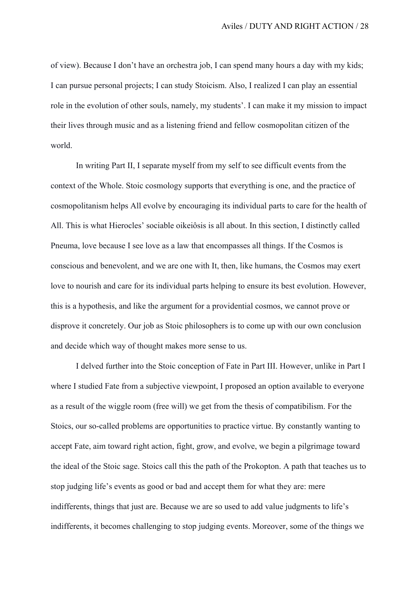of view). Because I don't have an orchestra job, I can spend many hours a day with my kids; I can pursue personal projects; I can study Stoicism. Also, I realized I can play an essential role in the evolution of other souls, namely, my students'. I can make it my mission to impact their lives through music and as a listening friend and fellow cosmopolitan citizen of the world.

In writing Part II, I separate myself from my self to see difficult events from the context of the Whole. Stoic cosmology supports that everything is one, and the practice of cosmopolitanism helps All evolve by encouraging its individual parts to care for the health of All. This is what Hierocles' sociable oikeiôsis is all about. In this section, I distinctly called Pneuma, love because I see love as a law that encompasses all things. If the Cosmos is conscious and benevolent, and we are one with It, then, like humans, the Cosmos may exert love to nourish and care for its individual parts helping to ensure its best evolution. However, this is a hypothesis, and like the argument for a providential cosmos, we cannot prove or disprove it concretely. Our job as Stoic philosophers is to come up with our own conclusion and decide which way of thought makes more sense to us.

I delved further into the Stoic conception of Fate in Part III. However, unlike in Part I where I studied Fate from a subjective viewpoint, I proposed an option available to everyone as a result of the wiggle room (free will) we get from the thesis of compatibilism. For the Stoics, our so-called problems are opportunities to practice virtue. By constantly wanting to accept Fate, aim toward right action, fight, grow, and evolve, we begin a pilgrimage toward the ideal of the Stoic sage. Stoics call this the path of the Prokopton. A path that teaches us to stop judging life's events as good or bad and accept them for what they are: mere indifferents, things that just are. Because we are so used to add value judgments to life's indifferents, it becomes challenging to stop judging events. Moreover, some of the things we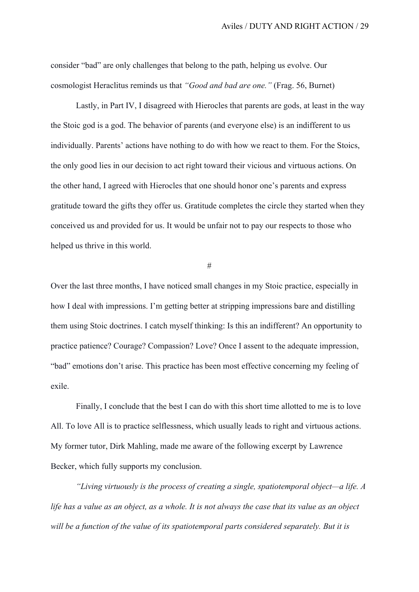consider "bad" are only challenges that belong to the path, helping us evolve. Our cosmologist Heraclitus reminds us that *"Good and bad are one."* (Frag. 56, Burnet)

Lastly, in Part IV, I disagreed with Hierocles that parents are gods, at least in the way the Stoic god is a god. The behavior of parents (and everyone else) is an indifferent to us individually. Parents' actions have nothing to do with how we react to them. For the Stoics, the only good lies in our decision to act right toward their vicious and virtuous actions. On the other hand, I agreed with Hierocles that one should honor one's parents and express gratitude toward the gifts they offer us. Gratitude completes the circle they started when they conceived us and provided for us. It would be unfair not to pay our respects to those who helped us thrive in this world.

#

Over the last three months, I have noticed small changes in my Stoic practice, especially in how I deal with impressions. I'm getting better at stripping impressions bare and distilling them using Stoic doctrines. I catch myself thinking: Is this an indifferent? An opportunity to practice patience? Courage? Compassion? Love? Once I assent to the adequate impression, "bad" emotions don't arise. This practice has been most effective concerning my feeling of exile.

Finally, I conclude that the best I can do with this short time allotted to me is to love All. To love All is to practice selflessness, which usually leads to right and virtuous actions. My former tutor, Dirk Mahling, made me aware of the following excerpt by Lawrence Becker, which fully supports my conclusion.

*"Living virtuously is the process of creating a single, spatiotemporal object—a life. A life has a value as an object, as a whole. It is not always the case that its value as an object will be a function of the value of its spatiotemporal parts considered separately. But it is*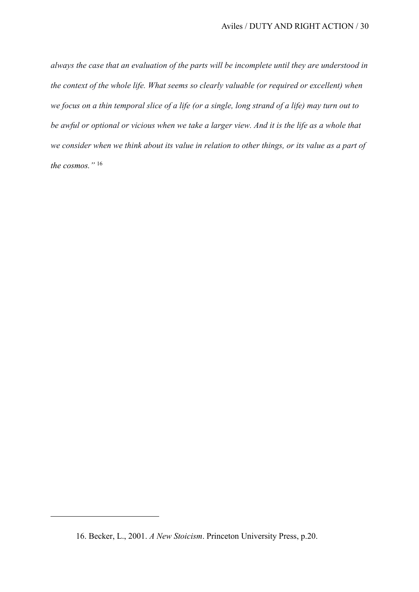*always the case that an evaluation of the parts will be incomplete until they are understood in the context of the whole life. What seems so clearly valuable (or required or excellent) when we focus on a thin temporal slice of a life (or a single, long strand of a life) may turn out to be awful or optional or vicious when we take a larger view. And it is the life as a whole that we consider when we think about its value in relation to other things, or its value as a part of the cosmos."* <sup>16</sup>

<sup>16.</sup> Becker, L., 2001. *A New Stoicism*. Princeton University Press, p.20.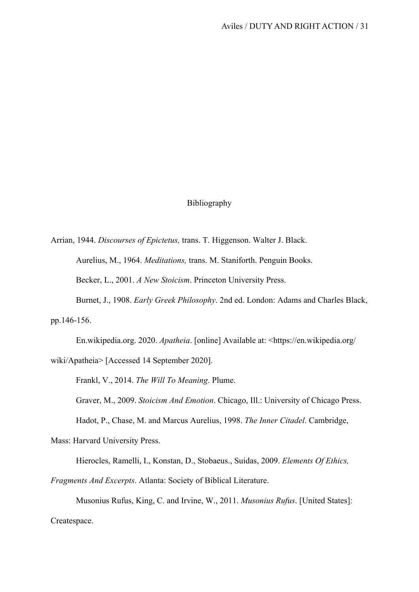# Bibliography

Arrian, 1944. *Discourses of Epictetus,* trans. T. Higgenson. Walter J. Black.

Aurelius, M., 1964. *Meditations,* trans. M. Staniforth. Penguin Books.

Becker, L., 2001. *A New Stoicism*. Princeton University Press.

Burnet, J., 1908. *Early Greek Philosophy*. 2nd ed. London: Adams and Charles Black,

pp.146-156.

En.wikipedia.org. 2020. *Apatheia*. [online] Available at: <https://en.wikipedia.org/

wiki/Apatheia> [Accessed 14 September 2020].

Frankl, V., 2014. *The Will To Meaning*. Plume.

Graver, M., 2009. *Stoicism And Emotion*. Chicago, Ill.: University of Chicago Press.

Hadot, P., Chase, M. and Marcus Aurelius, 1998. *The Inner Citadel*. Cambridge,

Mass: Harvard University Press.

Hierocles, Ramelli, I., Konstan, D., Stobaeus., Suidas, 2009. *Elements Of Ethics,* 

*Fragments And Excerpts*. Atlanta: Society of Biblical Literature.

Musonius Rufus, King, C. and Irvine, W., 2011. *Musonius Rufus*. [United States]: Createspace.